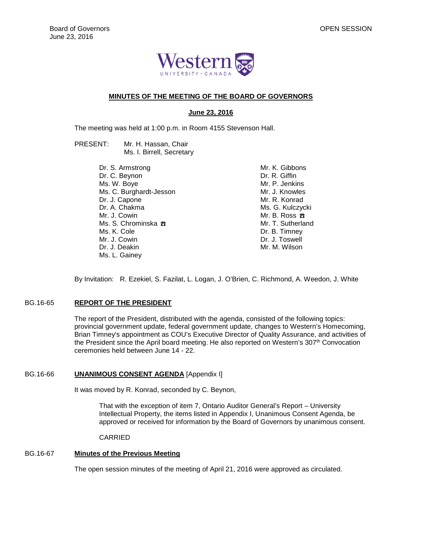

## **MINUTES OF THE MEETING OF THE BOARD OF GOVERNORS**

## **June 23, 2016**

The meeting was held at 1:00 p.m. in Room 4155 Stevenson Hall.

- PRESENT: Mr. H. Hassan, Chair Ms. I. Birrell, Secretary
	- Dr. S. Armstrong Dr. C. Beynon Ms. W. Boye Ms. C. Burghardt-Jesson Dr. J. Capone Dr. A. Chakma Mr. J. Cowin Ms. S. Chrominska <del>B</del> Ms. K. Cole Mr. J. Cowin Dr. J. Deakin Ms. L. Gainey

Mr. K. Gibbons Dr. R. Giffin Mr. P. Jenkins Mr. J. Knowles Mr. R. Konrad Ms. G. Kulczycki Mr. B. Ross ☎ Mr. T. Sutherland Dr. B. Timney Dr. J. Toswell Mr. M. Wilson

By Invitation: R. Ezekiel, S. Fazilat, L. Logan, J. O'Brien, C. Richmond, A. Weedon, J. White

## BG.16-65 **REPORT OF THE PRESIDENT**

The report of the President, distributed with the agenda, consisted of the following topics: provincial government update, federal government update, changes to Western's Homecoming, Brian Timney's appointment as COU's Executive Director of Quality Assurance, and activities of the President since the April board meeting. He also reported on Western's 307<sup>th</sup> Convocation ceremonies held between June 14 - 22.

## BG.16-66 **UNANIMOUS CONSENT AGENDA** [Appendix I]

It was moved by R. Konrad, seconded by C. Beynon,

That with the exception of item 7, Ontario Auditor General's Report – University Intellectual Property, the items listed in Appendix I, Unanimous Consent Agenda, be approved or received for information by the Board of Governors by unanimous consent.

CARRIED

## BG.16-67 **Minutes of the Previous Meeting**

The open session minutes of the meeting of April 21, 2016 were approved as circulated.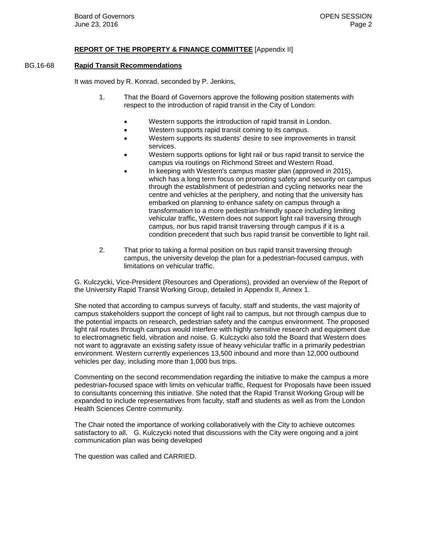## **REPORT OF THE PROPERTY & FINANCE COMMITTEE** [Appendix II]

## BG.16-68 **Rapid Transit Recommendations**

It was moved by R. Konrad, seconded by P. Jenkins,

- 1. That the Board of Governors approve the following position statements with respect to the introduction of rapid transit in the City of London:
	- Western supports the introduction of rapid transit in London.
	- Western supports rapid transit coming to its campus.
	- Western supports its students' desire to see improvements in transit services.
	- Western supports options for light rail or bus rapid transit to service the campus via routings on Richmond Street and Western Road.
	- In keeping with Western's campus master plan (approved in 2015), which has a long term focus on promoting safety and security on campus through the establishment of pedestrian and cycling networks near the centre and vehicles at the periphery, and noting that the university has embarked on planning to enhance safety on campus through a transformation to a more pedestrian-friendly space including limiting vehicular traffic, Western does not support light rail traversing through campus, nor bus rapid transit traversing through campus if it is a condition precedent that such bus rapid transit be convertible to light rail.
- 2. That prior to taking a formal position on bus rapid transit traversing through campus, the university develop the plan for a pedestrian-focused campus, with limitations on vehicular traffic.

G. Kulczycki, Vice-President (Resources and Operations), provided an overview of the Report of the University Rapid Transit Working Group, detailed in Appendix II, Annex 1.

She noted that according to campus surveys of faculty, staff and students, the vast majority of campus stakeholders support the concept of light rail to campus, but not through campus due to the potential impacts on research, pedestrian safety and the campus environment. The proposed light rail routes through campus would interfere with highly sensitive research and equipment due to electromagnetic field, vibration and noise. G. Kulczycki also told the Board that Western does not want to aggravate an existing safety issue of heavy vehicular traffic in a primarily pedestrian environment. Western currently experiences 13,500 inbound and more than 12,000 outbound vehicles per day, including more than 1,000 bus trips.

Commenting on the second recommendation regarding the initiative to make the campus a more pedestrian-focused space with limits on vehicular traffic, Request for Proposals have been issued to consultants concerning this initiative. She noted that the Rapid Transit Working Group will be expanded to include representatives from faculty, staff and students as well as from the London Health Sciences Centre community.

The Chair noted the importance of working collaboratively with the City to achieve outcomes satisfactory to all. G. Kulczycki noted that discussions with the City were ongoing and a joint communication plan was being developed

The question was called and CARRIED.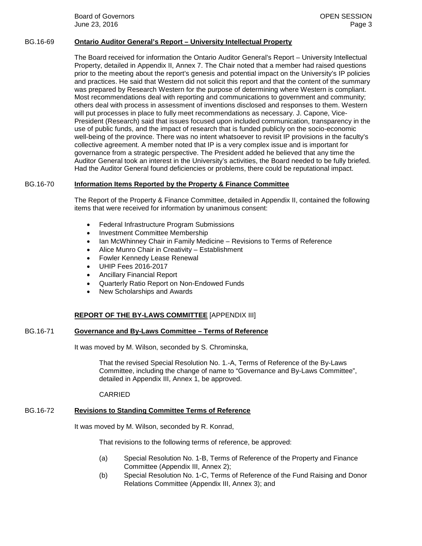**Board of Governors Contract Contract Contract Contract Contract Contract Contract Contract Contract Contract Contract Contract Contract Contract Contract Contract Contract Contract Contract Contract Contract Contract Co** June 23, 2016 Page 3

## BG.16-69 **Ontario Auditor General's Report – University Intellectual Property**

The Board received for information the Ontario Auditor General's Report – University Intellectual Property, detailed in Appendix II, Annex 7. The Chair noted that a member had raised questions prior to the meeting about the report's genesis and potential impact on the University's IP policies and practices. He said that Western did not solicit this report and that the content of the summary was prepared by Research Western for the purpose of determining where Western is compliant. Most recommendations deal with reporting and communications to government and community; others deal with process in assessment of inventions disclosed and responses to them. Western will put processes in place to fully meet recommendations as necessary. J. Capone, Vice-President (Research) said that issues focused upon included communication, transparency in the use of public funds, and the impact of research that is funded publicly on the socio-economic well-being of the province. There was no intent whatsoever to revisit IP provisions in the faculty's collective agreement. A member noted that IP is a very complex issue and is important for governance from a strategic perspective. The President added he believed that any time the Auditor General took an interest in the University's activities, the Board needed to be fully briefed. Had the Auditor General found deficiencies or problems, there could be reputational impact.

## BG.16-70 **Information Items Reported by the Property & Finance Committee**

The Report of the Property & Finance Committee, detailed in Appendix II, contained the following items that were received for information by unanimous consent:

- Federal Infrastructure Program Submissions
- Investment Committee Membership
- Ian McWhinney Chair in Family Medicine Revisions to Terms of Reference
- Alice Munro Chair in Creativity Establishment
- Fowler Kennedy Lease Renewal
- UHIP Fees 2016-2017
- Ancillary Financial Report
- Quarterly Ratio Report on Non-Endowed Funds
- New Scholarships and Awards

#### **REPORT OF THE BY-LAWS COMMITTEE** [APPENDIX III]

## BG.16-71 **Governance and By-Laws Committee – Terms of Reference**

It was moved by M. Wilson, seconded by S. Chrominska,

That the revised Special Resolution No. 1.-A, Terms of Reference of the By-Laws Committee, including the change of name to "Governance and By-Laws Committee", detailed in Appendix III, Annex 1, be approved.

CARRIED

## BG.16-72 **Revisions to Standing Committee Terms of Reference**

It was moved by M. Wilson, seconded by R. Konrad,

That revisions to the following terms of reference, be approved:

- (a) Special Resolution No. 1-B, Terms of Reference of the Property and Finance Committee (Appendix III, Annex 2);
- (b) Special Resolution No. 1-C, Terms of Reference of the Fund Raising and Donor Relations Committee (Appendix III, Annex 3); and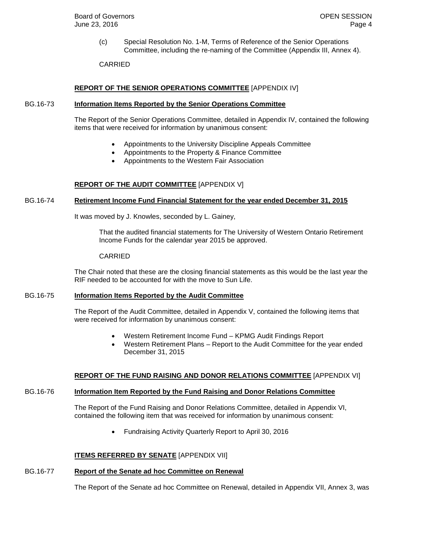(c) Special Resolution No. 1-M, Terms of Reference of the Senior Operations Committee, including the re-naming of the Committee (Appendix III, Annex 4).

CARRIED

## **REPORT OF THE SENIOR OPERATIONS COMMITTEE** [APPENDIX IV]

#### BG.16-73 **Information Items Reported by the Senior Operations Committee**

The Report of the Senior Operations Committee, detailed in Appendix IV, contained the following items that were received for information by unanimous consent:

- Appointments to the University Discipline Appeals Committee
- Appointments to the Property & Finance Committee
- Appointments to the Western Fair Association

## **REPORT OF THE AUDIT COMMITTEE** [APPENDIX V]

#### BG.16-74 **Retirement Income Fund Financial Statement for the year ended December 31, 2015**

It was moved by J. Knowles, seconded by L. Gainey,

That the audited financial statements for The University of Western Ontario Retirement Income Funds for the calendar year 2015 be approved.

#### CARRIED

The Chair noted that these are the closing financial statements as this would be the last year the RIF needed to be accounted for with the move to Sun Life.

## BG.16-75 **Information Items Reported by the Audit Committee**

The Report of the Audit Committee, detailed in Appendix V, contained the following items that were received for information by unanimous consent:

- Western Retirement Income Fund KPMG Audit Findings Report
- Western Retirement Plans Report to the Audit Committee for the year ended December 31, 2015

#### **REPORT OF THE FUND RAISING AND DONOR RELATIONS COMMITTEE** [APPENDIX VI]

#### BG.16-76 **Information Item Reported by the Fund Raising and Donor Relations Committee**

The Report of the Fund Raising and Donor Relations Committee, detailed in Appendix VI, contained the following item that was received for information by unanimous consent:

• Fundraising Activity Quarterly Report to April 30, 2016

#### **ITEMS REFERRED BY SENATE** [APPENDIX VII]

#### BG.16-77 **Report of the Senate ad hoc Committee on Renewal**

The Report of the Senate ad hoc Committee on Renewal, detailed in Appendix VII, Annex 3, was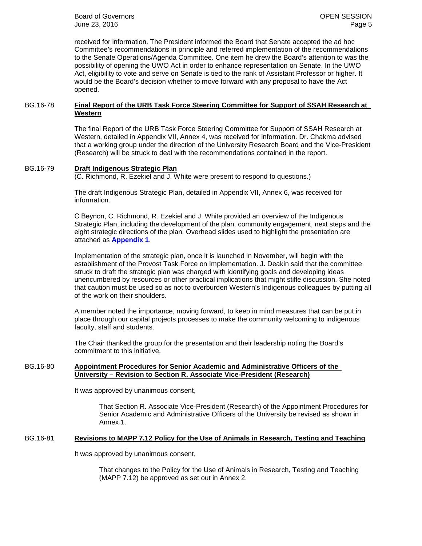**Board of Governors Contract Contract Contract Contract Contract Contract Contract Contract Contract Contract Contract Contract Contract Contract Contract Contract Contract Contract Contract Contract Contract Contract Co** June 23, 2016 Page 5

received for information. The President informed the Board that Senate accepted the ad hoc Committee's recommendations in principle and referred implementation of the recommendations to the Senate Operations/Agenda Committee. One item he drew the Board's attention to was the possibility of opening the UWO Act in order to enhance representation on Senate. In the UWO Act, eligibility to vote and serve on Senate is tied to the rank of Assistant Professor or higher. It would be the Board's decision whether to move forward with any proposal to have the Act opened.

## BG.16-78 **Final Report of the URB Task Force Steering Committee for Support of SSAH Research at Western**

The final Report of the URB Task Force Steering Committee for Support of SSAH Research at Western, detailed in Appendix VII, Annex 4, was received for information. Dr. Chakma advised that a working group under the direction of the University Research Board and the Vice-President (Research) will be struck to deal with the recommendations contained in the report.

## BG.16-79 **Draft Indigenous Strategic Plan**

(C. Richmond, R. Ezekiel and J. White were present to respond to questions.)

The draft Indigenous Strategic Plan, detailed in Appendix VII, Annex 6, was received for information.

C Beynon, C. Richmond, R. Ezekiel and J. White provided an overview of the Indigenous Strategic Plan, including the development of the plan, community engagement, next steps and the eight strategic directions of the plan. Overhead slides used to highlight the presentation are attached as **[Appendix 1](#page-6-0)**.

Implementation of the strategic plan, once it is launched in November, will begin with the establishment of the Provost Task Force on Implementation. J. Deakin said that the committee struck to draft the strategic plan was charged with identifying goals and developing ideas unencumbered by resources or other practical implications that might stifle discussion. She noted that caution must be used so as not to overburden Western's Indigenous colleagues by putting all of the work on their shoulders.

A member noted the importance, moving forward, to keep in mind measures that can be put in place through our capital projects processes to make the community welcoming to indigenous faculty, staff and students.

The Chair thanked the group for the presentation and their leadership noting the Board's commitment to this initiative.

### BG.16-80 **Appointment Procedures for Senior Academic and Administrative Officers of the University – Revision to Section R. Associate Vice-President (Research)**

It was approved by unanimous consent,

That Section R. Associate Vice-President (Research) of the Appointment Procedures for Senior Academic and Administrative Officers of the University be revised as shown in Annex 1.

#### BG.16-81 **Revisions to MAPP 7.12 Policy for the Use of Animals in Research, Testing and Teaching**

It was approved by unanimous consent,

That changes to the Policy for the Use of Animals in Research, Testing and Teaching (MAPP 7.12) be approved as set out in Annex 2.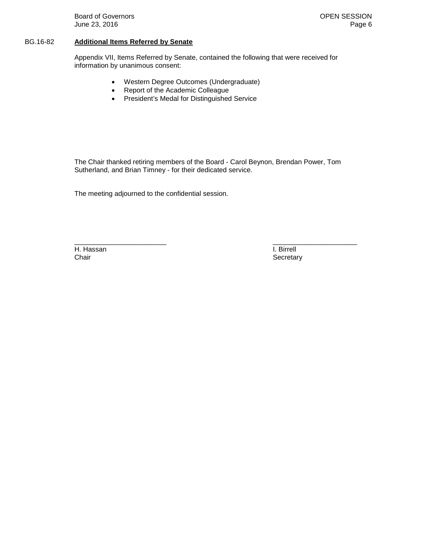**Board of Governors Contract Contract Contract Contract Contract Contract Contract Contract Contract Contract Contract Contract Contract Contract Contract Contract Contract Contract Contract Contract Contract Contract Co** June 23, 2016 **Page 6** 

## BG.16-82 **Additional Items Referred by Senate**

Appendix VII, Items Referred by Senate, contained the following that were received for information by unanimous consent:

- Western Degree Outcomes (Undergraduate)
- Report of the Academic Colleague
- President's Medal for Distinguished Service

The Chair thanked retiring members of the Board - Carol Beynon, Brendan Power, Tom Sutherland, and Brian Timney - for their dedicated service.

 $\frac{1}{2}$  , the contribution of the contribution of the contribution of the contribution of the contribution of the contribution of the contribution of the contribution of the contribution of the contribution of the contr

The meeting adjourned to the confidential session.

H. Hassan **I. Birrell** Chair Secretary Secretary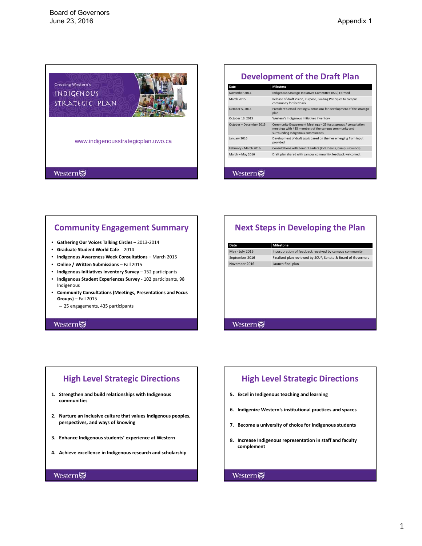<span id="page-6-0"></span>

# **Development of the Draft Plan**

| Date                    | <b>Milestone</b>                                                                                                                                              |
|-------------------------|---------------------------------------------------------------------------------------------------------------------------------------------------------------|
| November 2014           | Indigenous Strategic Initiatives Committee (ISIC) Formed                                                                                                      |
| <b>March 2015</b>       | Release of draft Vision, Purpose, Guiding Principles to campus<br>community for feedback                                                                      |
| October 5, 2015         | President's email inviting submissions for development of the strategic<br>plan                                                                               |
| October 13, 2015        | Western's Indigenous Initiatives Inventory                                                                                                                    |
| October - December 2015 | Community Engagement Meetings - 25 focus groups / consultation<br>meetings with 435 members of the campus community and<br>surrounding Indigenous communities |
| January 2016            | Development of draft goals based on themes emerging from input<br>provided                                                                                    |
| February - March 2016   | Consultations with Senior Leaders (PVP, Deans, Campus Council)                                                                                                |
| March - May 2016        | Draft plan shared with campus community, feedback welcomed.                                                                                                   |
|                         |                                                                                                                                                               |
| <i>v</i> ester          |                                                                                                                                                               |

# **Community Engagement Summary**

- **Gathering Our Voices Talking Circles –** 2013‐2014
- **Graduate Student World Cafe** ‐ 2014
- **Indigenous Awareness Week Consultations** March 2015
- **Online / Written Submissions** Fall 2015
- **Indigenous Initiatives Inventory Survey** 152 participants
- **Indigenous Student Experiences Survey** ‐ 102 participants, 98 Indigenous
- **Community Consultations (Meetings, Presentations and Focus Groups)** – Fall 2015
	- 25 engagements, 435 participants

#### **Western**

**Western** 

# **Next Steps in Developing the Plan**

| Date            | Milestone                                                    |
|-----------------|--------------------------------------------------------------|
| May - July 2016 | Incorporation of feedback received by campus community.      |
| September 2016  | Finalized plan reviewed by SCUP, Senate & Board of Governors |
| November 2016   | Launch final plan                                            |

## **Western**

# **High Level Strategic Directions**

- **1. Strengthen and build relationships with Indigenous communities**
- **2. Nurture an inclusive culture that values Indigenous peoples, perspectives, and ways of knowing**
- **3. Enhance Indigenous students' experience at Western**
- **4. Achieve excellence in Indigenous research and scholarship**

#### Western

# **High Level Strategic Directions**

- **5. Excel in Indigenous teaching and learning**
- **6. Indigenize Western's institutional practices and spaces**
- **7. Become a university of choice for Indigenous students**
- **8. Increase Indigenous representation in staff and faculty complement**

## Western

#### 1